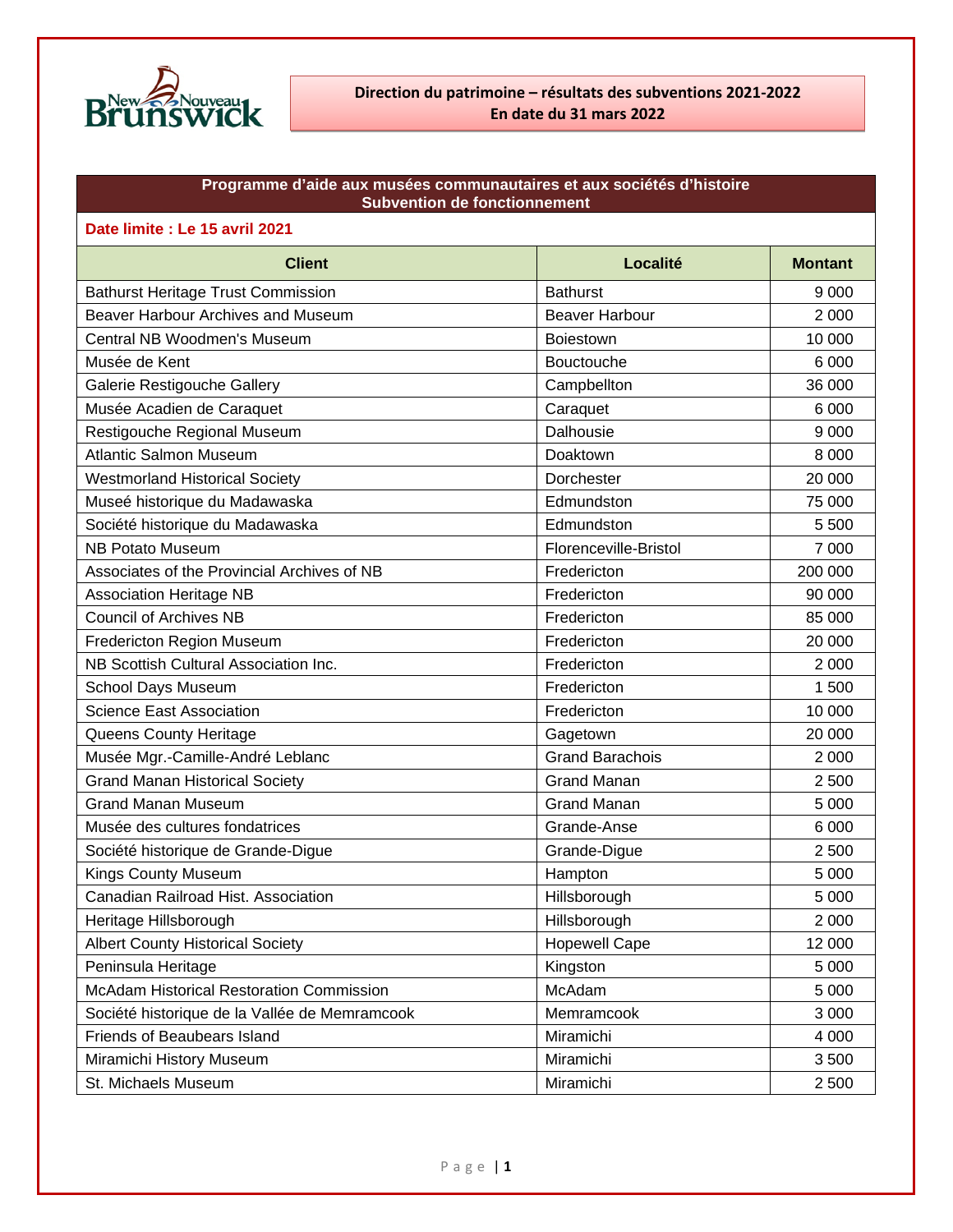

#### **Programme d'aide aux musées communautaires et aux sociétés d'histoire Subvention de fonctionnement**

#### **Date limite : Le 15 avril 2021**

| <b>Client</b>                                   | Localité               | <b>Montant</b> |
|-------------------------------------------------|------------------------|----------------|
| <b>Bathurst Heritage Trust Commission</b>       | <b>Bathurst</b>        | 9 0 0 0        |
| Beaver Harbour Archives and Museum              | <b>Beaver Harbour</b>  | 2 0 0 0        |
| Central NB Woodmen's Museum                     | <b>Boiestown</b>       | 10 000         |
| Musée de Kent                                   | Bouctouche             | 6 0 0 0        |
| Galerie Restigouche Gallery                     | Campbellton            | 36 000         |
| Musée Acadien de Caraquet                       | Caraquet               | 6 0 0 0        |
| Restigouche Regional Museum                     | Dalhousie              | 9 0 0 0        |
| <b>Atlantic Salmon Museum</b>                   | Doaktown               | 8 0 0 0        |
| <b>Westmorland Historical Society</b>           | Dorchester             | 20 000         |
| Museé historique du Madawaska                   | Edmundston             | 75 000         |
| Société historique du Madawaska                 | Edmundston             | 5 500          |
| <b>NB Potato Museum</b>                         | Florenceville-Bristol  | 7 0 0 0        |
| Associates of the Provincial Archives of NB     | Fredericton            | 200 000        |
| <b>Association Heritage NB</b>                  | Fredericton            | 90 000         |
| <b>Council of Archives NB</b>                   | Fredericton            | 85 000         |
| <b>Fredericton Region Museum</b>                | Fredericton            | 20 000         |
| NB Scottish Cultural Association Inc.           | Fredericton            | 2 0 0 0        |
| School Days Museum                              | Fredericton            | 1500           |
| <b>Science East Association</b>                 | Fredericton            | 10 000         |
| Queens County Heritage                          | Gagetown               | 20 000         |
| Musée Mgr.-Camille-André Leblanc                | <b>Grand Barachois</b> | 2 0 0 0        |
| <b>Grand Manan Historical Society</b>           | <b>Grand Manan</b>     | 2 500          |
| <b>Grand Manan Museum</b>                       | <b>Grand Manan</b>     | 5 0 0 0        |
| Musée des cultures fondatrices                  | Grande-Anse            | 6 0 0 0        |
| Société historique de Grande-Digue              | Grande-Digue           | 2 500          |
| Kings County Museum                             | Hampton                | 5 0 0 0        |
| Canadian Railroad Hist. Association             | Hillsborough           | 5 0 0 0        |
| Heritage Hillsborough                           | Hillsborough           | 2 0 0 0        |
| <b>Albert County Historical Society</b>         | <b>Hopewell Cape</b>   | 12 000         |
| Peninsula Heritage                              | Kingston               | 5 0 0 0        |
| <b>McAdam Historical Restoration Commission</b> | McAdam                 | 5 0 0 0        |
| Société historique de la Vallée de Memramcook   | Memramcook             | 3 0 0 0        |
| Friends of Beaubears Island                     | Miramichi              | 4 0 0 0        |
| Miramichi History Museum                        | Miramichi              | 3500           |
| St. Michaels Museum                             | Miramichi              | 2 500          |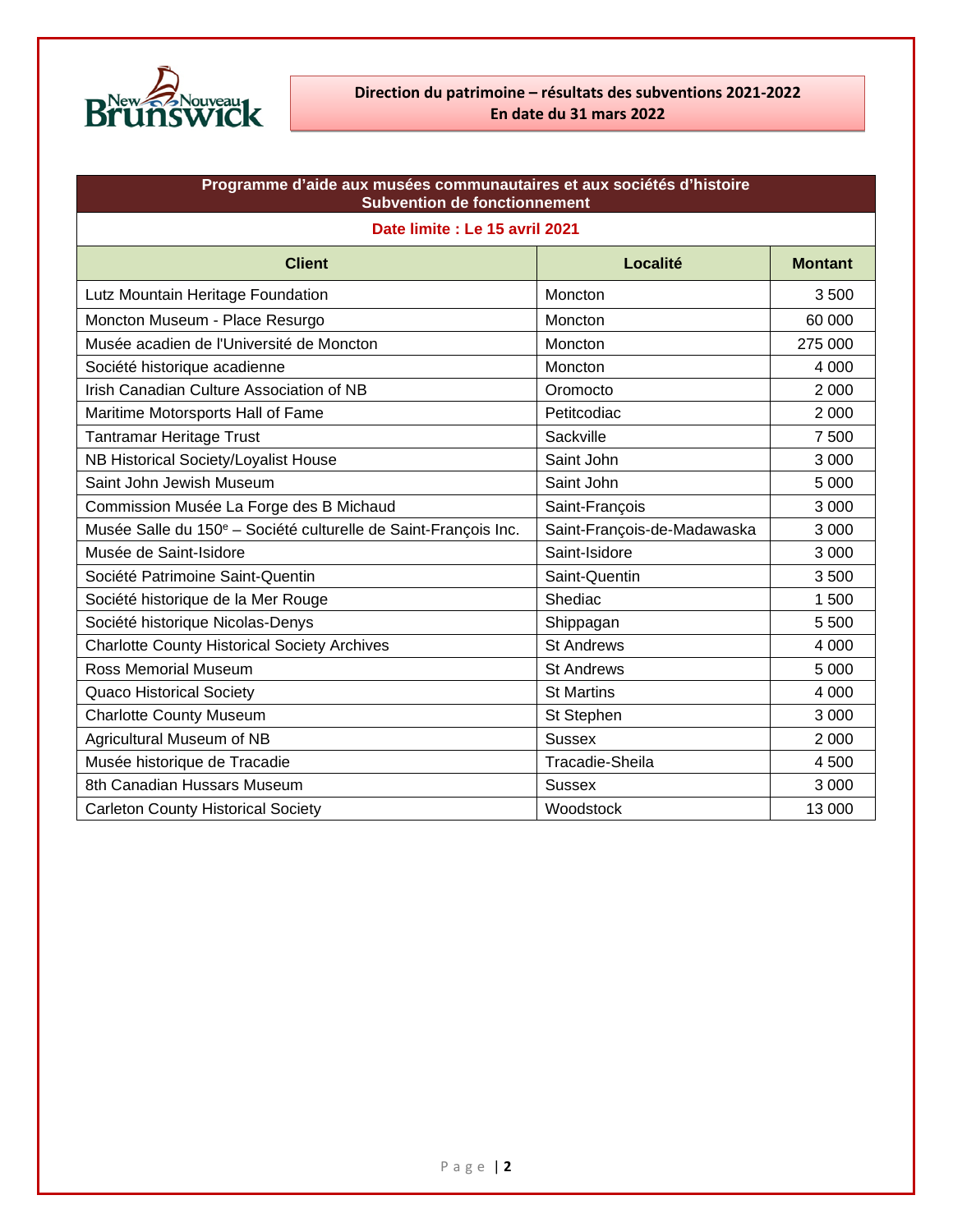

### **Direction du patrimoine – résultats des subventions 2021-2022 En date du 31 mars 2022**

| Programme d'aide aux musées communautaires et aux sociétés d'histoire<br><b>Subvention de fonctionnement</b> |                             |                |
|--------------------------------------------------------------------------------------------------------------|-----------------------------|----------------|
| Date limite : Le 15 avril 2021                                                                               |                             |                |
| <b>Client</b>                                                                                                | Localité                    | <b>Montant</b> |
| Lutz Mountain Heritage Foundation                                                                            | <b>Moncton</b>              | 3500           |
| Moncton Museum - Place Resurgo                                                                               | Moncton                     | 60 000         |
| Musée acadien de l'Université de Moncton                                                                     | Moncton                     | 275 000        |
| Société historique acadienne                                                                                 | Moncton                     | 4 0 0 0        |
| Irish Canadian Culture Association of NB                                                                     | Oromocto                    | 2 0 0 0        |
| Maritime Motorsports Hall of Fame                                                                            | Petitcodiac                 | 2 0 0 0        |
| <b>Tantramar Heritage Trust</b>                                                                              | Sackville                   | 7500           |
| NB Historical Society/Loyalist House                                                                         | Saint John                  | 3 0 0 0        |
| Saint John Jewish Museum                                                                                     | Saint John                  | 5 0 0 0        |
| Commission Musée La Forge des B Michaud                                                                      | Saint-François              | 3 0 0 0        |
| Musée Salle du 150 <sup>e</sup> – Société culturelle de Saint-François Inc.                                  | Saint-François-de-Madawaska | 3 0 0 0        |
| Musée de Saint-Isidore                                                                                       | Saint-Isidore               | 3 0 0 0        |
| Société Patrimoine Saint-Quentin                                                                             | Saint-Quentin               | 3500           |
| Société historique de la Mer Rouge                                                                           | Shediac                     | 1500           |
| Société historique Nicolas-Denys                                                                             | Shippagan                   | 5 500          |
| <b>Charlotte County Historical Society Archives</b>                                                          | <b>St Andrews</b>           | 4 0 0 0        |
| <b>Ross Memorial Museum</b>                                                                                  | <b>St Andrews</b>           | 5 0 0 0        |
| <b>Quaco Historical Society</b>                                                                              | <b>St Martins</b>           | 4 0 0 0        |
| <b>Charlotte County Museum</b>                                                                               | St Stephen                  | 3 0 0 0        |
| Agricultural Museum of NB                                                                                    | <b>Sussex</b>               | 2 0 0 0        |
| Musée historique de Tracadie                                                                                 | Tracadie-Sheila             | 4 500          |
| 8th Canadian Hussars Museum                                                                                  | <b>Sussex</b>               | 3 0 0 0        |
| <b>Carleton County Historical Society</b>                                                                    | Woodstock                   | 13 000         |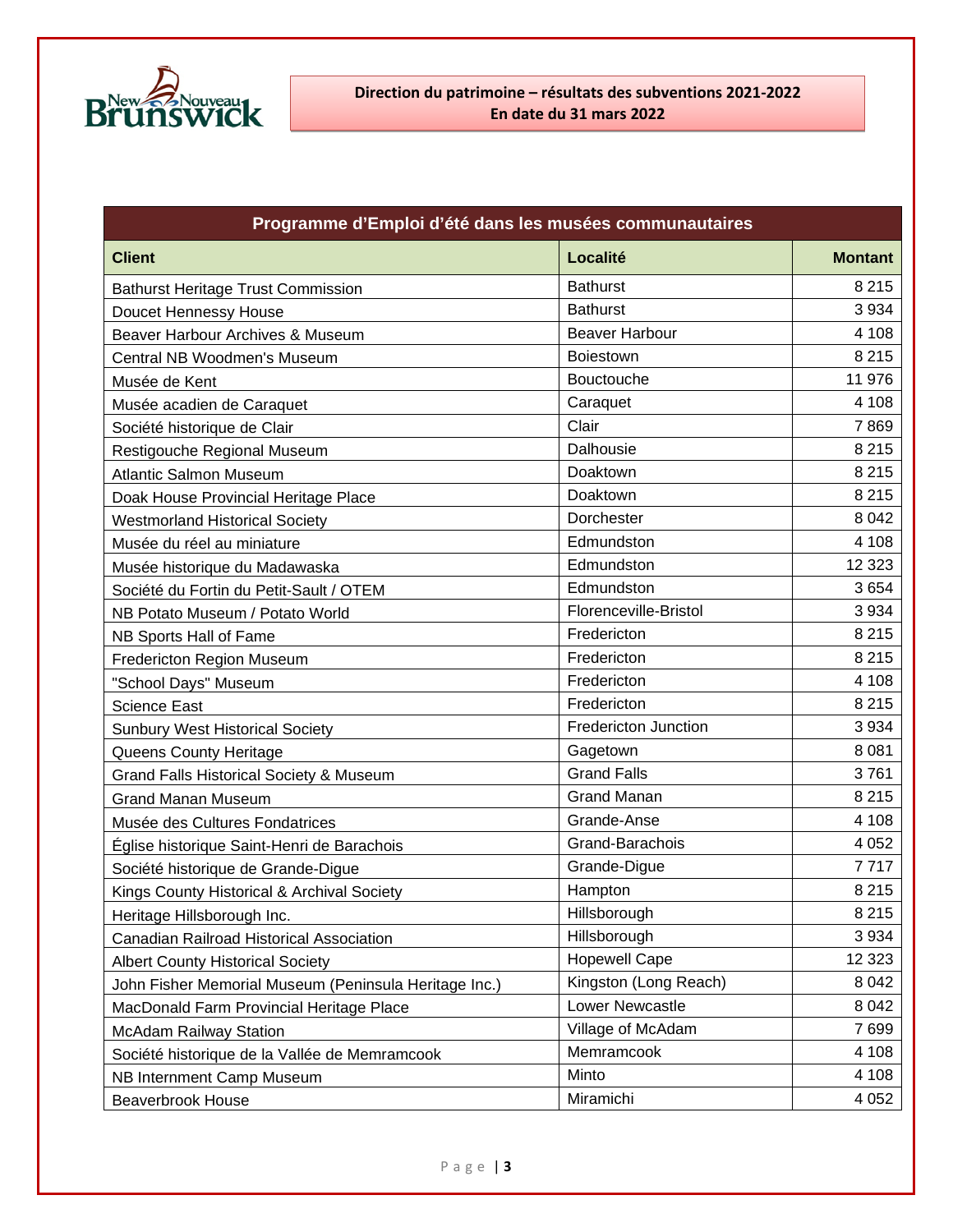

| Programme d'Emploi d'été dans les musées communautaires |                             |                |
|---------------------------------------------------------|-----------------------------|----------------|
| <b>Client</b>                                           | Localité                    | <b>Montant</b> |
| <b>Bathurst Heritage Trust Commission</b>               | <b>Bathurst</b>             | 8 2 1 5        |
| Doucet Hennessy House                                   | <b>Bathurst</b>             | 3 9 3 4        |
| Beaver Harbour Archives & Museum                        | <b>Beaver Harbour</b>       | 4 1 0 8        |
| Central NB Woodmen's Museum                             | <b>Boiestown</b>            | 8 2 1 5        |
| Musée de Kent                                           | <b>Bouctouche</b>           | 11 976         |
| Musée acadien de Caraquet                               | Caraquet                    | 4 108          |
| Société historique de Clair                             | Clair                       | 7869           |
| Restigouche Regional Museum                             | Dalhousie                   | 8 2 1 5        |
| <b>Atlantic Salmon Museum</b>                           | Doaktown                    | 8 2 1 5        |
| Doak House Provincial Heritage Place                    | Doaktown                    | 8 2 1 5        |
| <b>Westmorland Historical Society</b>                   | Dorchester                  | 8 0 4 2        |
| Musée du réel au miniature                              | Edmundston                  | 4 1 0 8        |
| Musée historique du Madawaska                           | Edmundston                  | 12 3 23        |
| Société du Fortin du Petit-Sault / OTEM                 | Edmundston                  | 3654           |
| NB Potato Museum / Potato World                         | Florenceville-Bristol       | 3 9 3 4        |
| NB Sports Hall of Fame                                  | Fredericton                 | 8 2 1 5        |
| Fredericton Region Museum                               | Fredericton                 | 8 2 1 5        |
| "School Days" Museum                                    | Fredericton                 | 4 1 0 8        |
| <b>Science East</b>                                     | Fredericton                 | 8 2 1 5        |
| <b>Sunbury West Historical Society</b>                  | <b>Fredericton Junction</b> | 3 9 3 4        |
| Queens County Heritage                                  | Gagetown                    | 8 0 8 1        |
| <b>Grand Falls Historical Society &amp; Museum</b>      | <b>Grand Falls</b>          | 3761           |
| <b>Grand Manan Museum</b>                               | <b>Grand Manan</b>          | 8 2 1 5        |
| Musée des Cultures Fondatrices                          | Grande-Anse                 | 4 1 0 8        |
| Église historique Saint-Henri de Barachois              | Grand-Barachois             | 4 0 5 2        |
| Société historique de Grande-Digue                      | Grande-Digue                | 7717           |
| Kings County Historical & Archival Society              | Hampton                     | 8 2 1 5        |
| Heritage Hillsborough Inc.                              | Hillsborough                | 8 2 1 5        |
| Canadian Railroad Historical Association                | Hillsborough                | 3 9 3 4        |
| <b>Albert County Historical Society</b>                 | <b>Hopewell Cape</b>        | 12 3 23        |
| John Fisher Memorial Museum (Peninsula Heritage Inc.)   | Kingston (Long Reach)       | 8 0 4 2        |
| MacDonald Farm Provincial Heritage Place                | <b>Lower Newcastle</b>      | 8 0 4 2        |
| <b>McAdam Railway Station</b>                           | Village of McAdam           | 7699           |
| Société historique de la Vallée de Memramcook           | Memramcook                  | 4 1 0 8        |
| NB Internment Camp Museum                               | Minto                       | 4 1 0 8        |
| <b>Beaverbrook House</b>                                | Miramichi                   | 4 0 5 2        |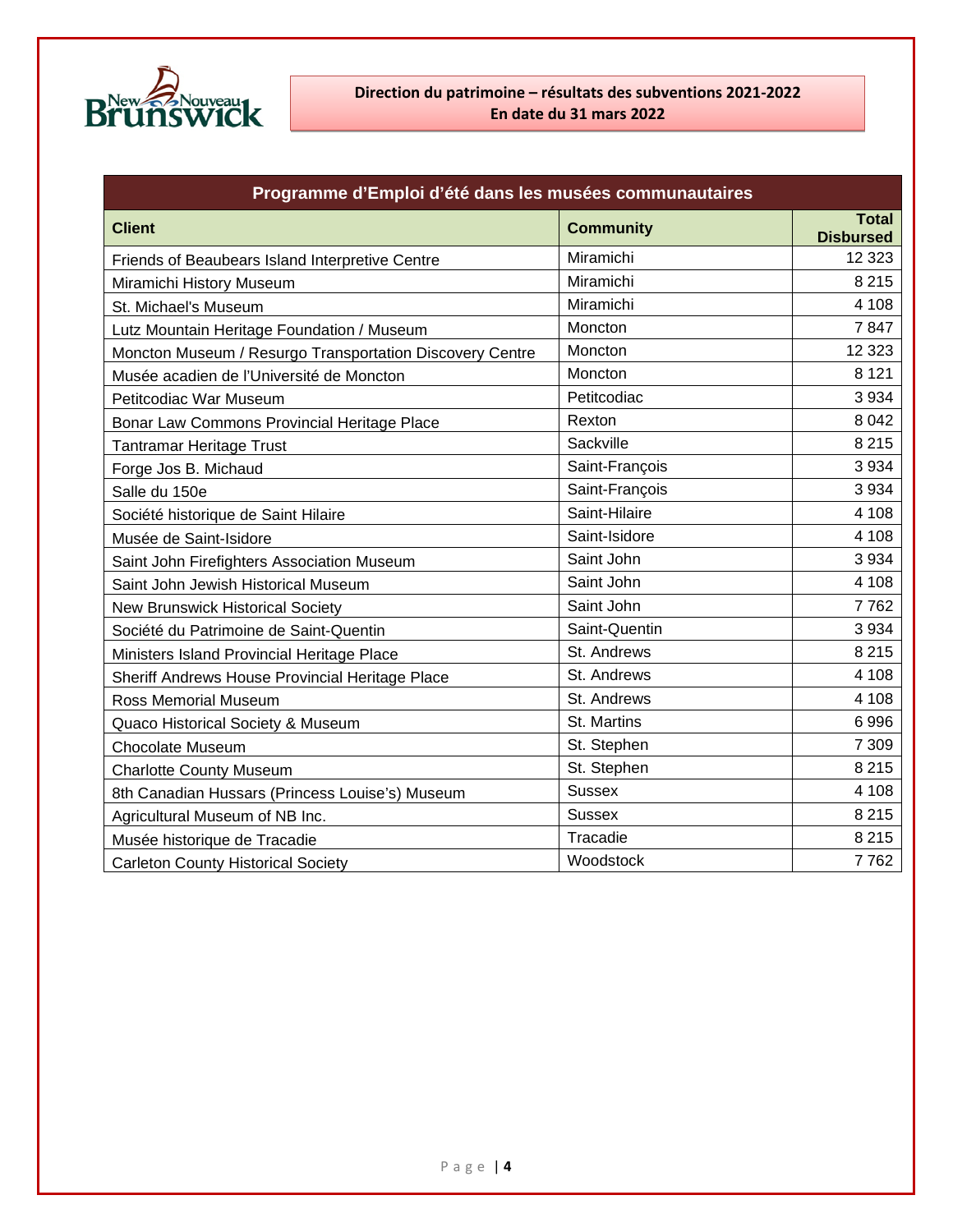

| Programme d'Emploi d'été dans les musées communautaires  |                  |                                  |
|----------------------------------------------------------|------------------|----------------------------------|
| <b>Client</b>                                            | <b>Community</b> | <b>Total</b><br><b>Disbursed</b> |
| Friends of Beaubears Island Interpretive Centre          | Miramichi        | 12 3 23                          |
| Miramichi History Museum                                 | Miramichi        | 8 2 1 5                          |
| St. Michael's Museum                                     | Miramichi        | 4 1 0 8                          |
| Lutz Mountain Heritage Foundation / Museum               | Moncton          | 7847                             |
| Moncton Museum / Resurgo Transportation Discovery Centre | Moncton          | 12 3 23                          |
| Musée acadien de l'Université de Moncton                 | Moncton          | 8 1 2 1                          |
| Petitcodiac War Museum                                   | Petitcodiac      | 3 9 3 4                          |
| Bonar Law Commons Provincial Heritage Place              | Rexton           | 8 0 4 2                          |
| <b>Tantramar Heritage Trust</b>                          | Sackville        | 8 2 1 5                          |
| Forge Jos B. Michaud                                     | Saint-François   | 3 9 3 4                          |
| Salle du 150e                                            | Saint-François   | 3 9 3 4                          |
| Société historique de Saint Hilaire                      | Saint-Hilaire    | 4 1 0 8                          |
| Musée de Saint-Isidore                                   | Saint-Isidore    | 4 1 0 8                          |
| Saint John Firefighters Association Museum               | Saint John       | 3 9 3 4                          |
| Saint John Jewish Historical Museum                      | Saint John       | 4 1 0 8                          |
| <b>New Brunswick Historical Society</b>                  | Saint John       | 7762                             |
| Société du Patrimoine de Saint-Quentin                   | Saint-Quentin    | 3 9 3 4                          |
| Ministers Island Provincial Heritage Place               | St. Andrews      | 8 2 1 5                          |
| Sheriff Andrews House Provincial Heritage Place          | St. Andrews      | 4 1 0 8                          |
| <b>Ross Memorial Museum</b>                              | St. Andrews      | 4 1 0 8                          |
| Quaco Historical Society & Museum                        | St. Martins      | 6996                             |
| <b>Chocolate Museum</b>                                  | St. Stephen      | 7 3 0 9                          |
| <b>Charlotte County Museum</b>                           | St. Stephen      | 8 2 1 5                          |
| 8th Canadian Hussars (Princess Louise's) Museum          | <b>Sussex</b>    | 4 1 0 8                          |
| Agricultural Museum of NB Inc.                           | <b>Sussex</b>    | 8 2 1 5                          |
| Musée historique de Tracadie                             | Tracadie         | 8 2 1 5                          |
| <b>Carleton County Historical Society</b>                | Woodstock        | 7762                             |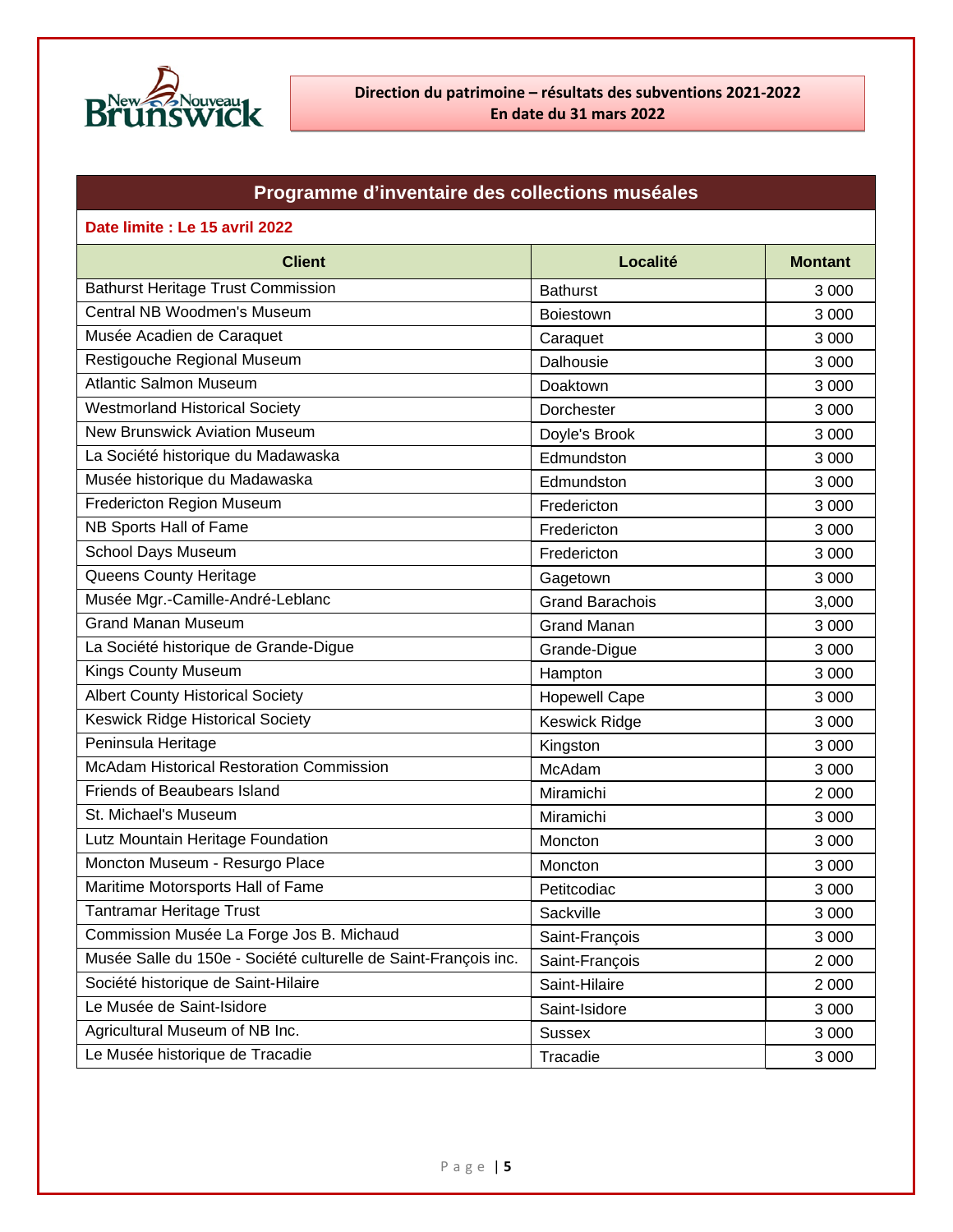

# **Programme d'inventaire des collections muséales**

| Date limite : Le 15 avril 2022                                  |                        |                |
|-----------------------------------------------------------------|------------------------|----------------|
| <b>Client</b>                                                   | Localité               | <b>Montant</b> |
| <b>Bathurst Heritage Trust Commission</b>                       | <b>Bathurst</b>        | 3 0 0 0        |
| Central NB Woodmen's Museum                                     | <b>Boiestown</b>       | 3 0 0 0        |
| Musée Acadien de Caraquet                                       | Caraquet               | 3 0 0 0        |
| Restigouche Regional Museum                                     | Dalhousie              | 3 0 0 0        |
| <b>Atlantic Salmon Museum</b>                                   | Doaktown               | 3 0 0 0        |
| <b>Westmorland Historical Society</b>                           | Dorchester             | 3 0 0 0        |
| <b>New Brunswick Aviation Museum</b>                            | Doyle's Brook          | 3 0 0 0        |
| La Société historique du Madawaska                              | Edmundston             | 3 0 0 0        |
| Musée historique du Madawaska                                   | Edmundston             | 3 0 0 0        |
| Fredericton Region Museum                                       | Fredericton            | 3 0 0 0        |
| NB Sports Hall of Fame                                          | Fredericton            | 3 0 0 0        |
| <b>School Days Museum</b>                                       | Fredericton            | 3 0 0 0        |
| Queens County Heritage                                          | Gagetown               | 3 0 0 0        |
| Musée Mgr.-Camille-André-Leblanc                                | <b>Grand Barachois</b> | 3,000          |
| <b>Grand Manan Museum</b>                                       | <b>Grand Manan</b>     | 3 0 0 0        |
| La Société historique de Grande-Digue                           | Grande-Digue           | 3 0 0 0        |
| Kings County Museum                                             | Hampton                | 3 0 0 0        |
| <b>Albert County Historical Society</b>                         | <b>Hopewell Cape</b>   | 3 0 0 0        |
| <b>Keswick Ridge Historical Society</b>                         | Keswick Ridge          | 3 0 0 0        |
| Peninsula Heritage                                              | Kingston               | 3 0 0 0        |
| <b>McAdam Historical Restoration Commission</b>                 | McAdam                 | 3 0 0 0        |
| <b>Friends of Beaubears Island</b>                              | Miramichi              | 2 0 0 0        |
| St. Michael's Museum                                            | Miramichi              | 3 0 0 0        |
| Lutz Mountain Heritage Foundation                               | Moncton                | 3 0 0 0        |
| Moncton Museum - Resurgo Place                                  | Moncton                | 3 0 0 0        |
| Maritime Motorsports Hall of Fame                               | Petitcodiac            | 3 0 0 0        |
| <b>Tantramar Heritage Trust</b>                                 | Sackville              | 3 0 0 0        |
| Commission Musée La Forge Jos B. Michaud                        | Saint-François         | 3 0 0 0        |
| Musée Salle du 150e - Société culturelle de Saint-François inc. | Saint-François         | 2 0 0 0        |
| Société historique de Saint-Hilaire                             | Saint-Hilaire          | 2 0 0 0        |
| Le Musée de Saint-Isidore                                       | Saint-Isidore          | 3 0 0 0        |
| Agricultural Museum of NB Inc.                                  | <b>Sussex</b>          | 3 0 0 0        |
| Le Musée historique de Tracadie                                 | Tracadie               | 3 0 0 0        |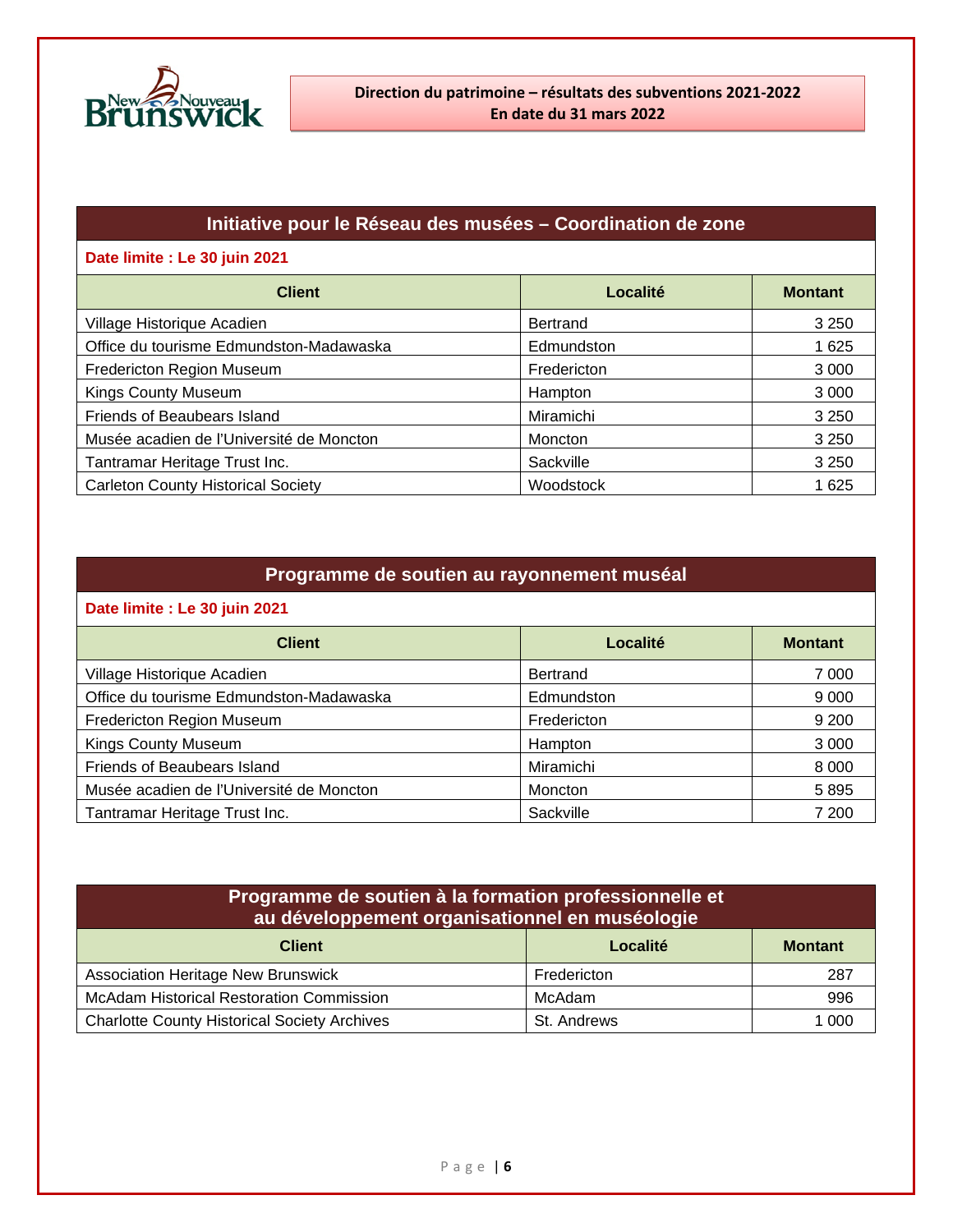

# **Initiative pour le Réseau des musées – Coordination de zone**

### **Date limite : Le 30 juin 2021**

| <b>Client</b>                             | Localité    | <b>Montant</b> |
|-------------------------------------------|-------------|----------------|
| Village Historique Acadien                | Bertrand    | 3 2 5 0        |
| Office du tourisme Edmundston-Madawaska   | Edmundston  | 1 6 2 5        |
| Fredericton Region Museum                 | Fredericton | 3 0 0 0        |
| <b>Kings County Museum</b>                | Hampton     | 3 0 0 0        |
| Friends of Beaubears Island               | Miramichi   | 3 2 5 0        |
| Musée acadien de l'Université de Moncton  | Moncton     | 3 2 5 0        |
| Tantramar Heritage Trust Inc.             | Sackville   | 3 2 5 0        |
| <b>Carleton County Historical Society</b> | Woodstock   | 1 6 2 5        |

## **Programme de soutien au rayonnement muséal**

#### **Date limite : Le 30 juin 2021**

| <b>Client</b>                            | Localité        | <b>Montant</b> |
|------------------------------------------|-----------------|----------------|
| Village Historique Acadien               | <b>Bertrand</b> | 7 0 0 0        |
| Office du tourisme Edmundston-Madawaska  | Edmundston      | 9 0 0 0        |
| Fredericton Region Museum                | Fredericton     | 9 2 0 0        |
| <b>Kings County Museum</b>               | Hampton         | 3 0 0 0        |
| Friends of Beaubears Island              | Miramichi       | 8 0 0 0        |
| Musée acadien de l'Université de Moncton | Moncton         | 5895           |
| Tantramar Heritage Trust Inc.            | Sackville       | 7 200          |

| Programme de soutien à la formation professionnelle et<br>au développement organisationnel en muséologie |               |                |
|----------------------------------------------------------------------------------------------------------|---------------|----------------|
| <b>Client</b>                                                                                            | Localité      | <b>Montant</b> |
| <b>Association Heritage New Brunswick</b>                                                                | Fredericton   | 287            |
| <b>McAdam Historical Restoration Commission</b>                                                          | <b>McAdam</b> | 996            |
| <b>Charlotte County Historical Society Archives</b>                                                      | St. Andrews   | 1 000          |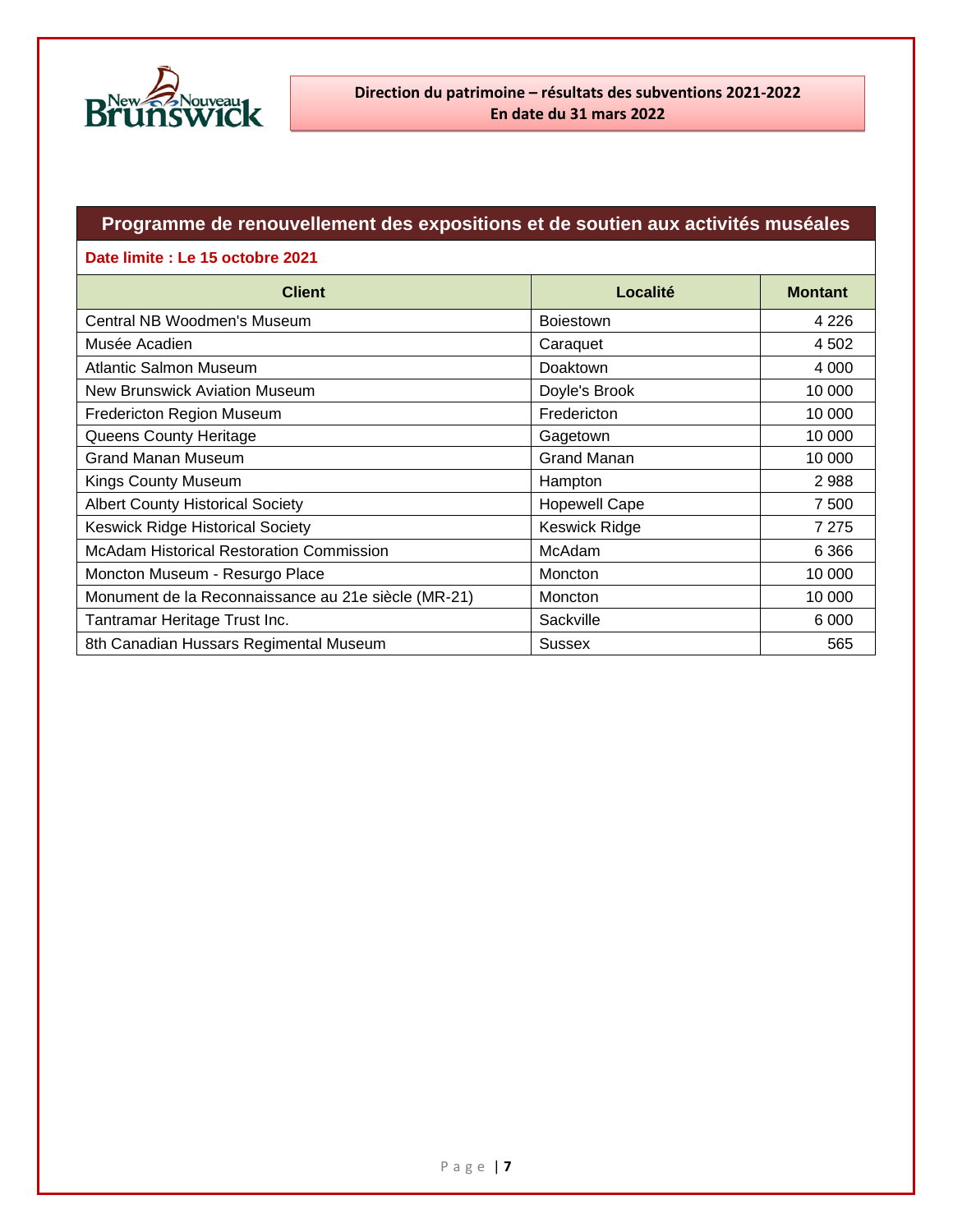

# **Programme de renouvellement des expositions et de soutien aux activités muséales**

#### **Date limite : Le 15 octobre 2021**

| <b>Client</b>                                       | Localité             | <b>Montant</b> |
|-----------------------------------------------------|----------------------|----------------|
| Central NB Woodmen's Museum                         | <b>Boiestown</b>     | 4 2 2 6        |
| Musée Acadien                                       | Caraquet             | 4 5 0 2        |
| <b>Atlantic Salmon Museum</b>                       | Doaktown             | 4 0 0 0        |
| New Brunswick Aviation Museum                       | Doyle's Brook        | 10 000         |
| Fredericton Region Museum                           | Fredericton          | 10 000         |
| Queens County Heritage                              | Gagetown             | 10 000         |
| <b>Grand Manan Museum</b>                           | <b>Grand Manan</b>   | 10 000         |
| <b>Kings County Museum</b>                          | Hampton              | 2988           |
| <b>Albert County Historical Society</b>             | <b>Hopewell Cape</b> | 7 500          |
| <b>Keswick Ridge Historical Society</b>             | <b>Keswick Ridge</b> | 7 2 7 5        |
| <b>McAdam Historical Restoration Commission</b>     | McAdam               | 6 3 6 6        |
| Moncton Museum - Resurgo Place                      | Moncton              | 10 000         |
| Monument de la Reconnaissance au 21e siècle (MR-21) | Moncton              | 10 000         |
| Tantramar Heritage Trust Inc.                       | Sackville            | 6 0 0 0        |
| 8th Canadian Hussars Regimental Museum              | <b>Sussex</b>        | 565            |